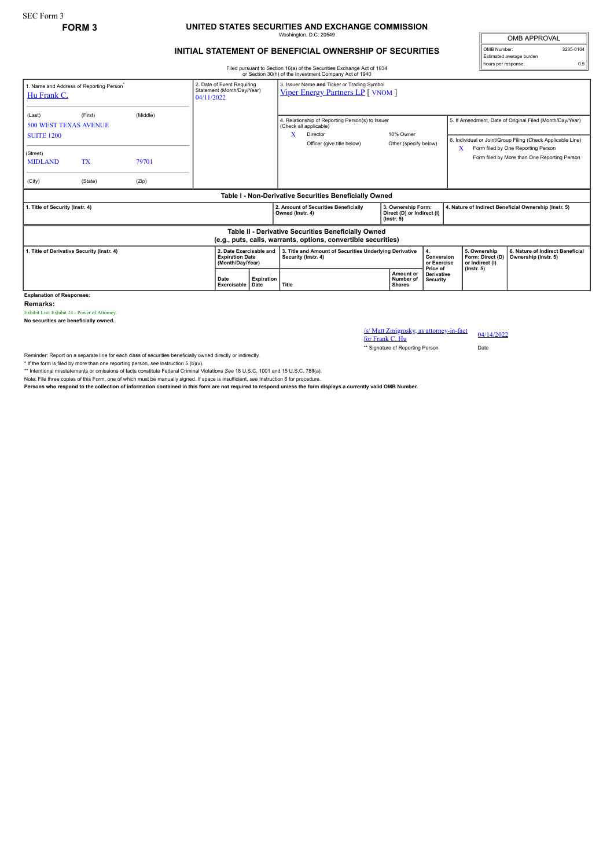## **FORM 3 UNITED STATES SECURITIES AND EXCHANGE COMMISSION** Washington, D.C. 20549

## **INITIAL STATEMENT OF BENEFICIAL OWNERSHIP OF SECURITIES**

OMB APPROVAL OMB Number: 3235-0104 Estimated average burden hours per response: 0.5

Filed pursuant to Section 16(a) of the Securities Exchange Act of 1934 or Section 30(h) of the Investment Company Act of 1940

| (Middle)<br>(Last)<br>(First)<br>5. If Amendment, Date of Original Filed (Month/Day/Year)<br>4. Relationship of Reporting Person(s) to Issuer<br><b>500 WEST TEXAS AVENUE</b><br>(Check all applicable)<br>X<br>10% Owner<br>Director<br><b>SUITE 1200</b><br>6. Individual or Joint/Group Filing (Check Applicable Line)<br>Officer (give title below)<br>Other (specify below)<br>Form filed by One Reporting Person<br>X<br>(Street)<br>Form filed by More than One Reporting Person<br><b>TX</b><br><b>MIDLAND</b><br>79701<br>(City)<br>(Zip)<br>(State) |  |
|---------------------------------------------------------------------------------------------------------------------------------------------------------------------------------------------------------------------------------------------------------------------------------------------------------------------------------------------------------------------------------------------------------------------------------------------------------------------------------------------------------------------------------------------------------------|--|
|                                                                                                                                                                                                                                                                                                                                                                                                                                                                                                                                                               |  |
|                                                                                                                                                                                                                                                                                                                                                                                                                                                                                                                                                               |  |
|                                                                                                                                                                                                                                                                                                                                                                                                                                                                                                                                                               |  |
| Table I - Non-Derivative Securities Beneficially Owned                                                                                                                                                                                                                                                                                                                                                                                                                                                                                                        |  |
| 2. Amount of Securities Beneficially<br>3. Ownership Form:<br>4. Nature of Indirect Beneficial Ownership (Instr. 5)<br>1. Title of Security (Instr. 4)<br>Owned (Instr. 4)<br>Direct (D) or Indirect (I)<br>$($ lnstr. 5 $)$                                                                                                                                                                                                                                                                                                                                  |  |
| Table II - Derivative Securities Beneficially Owned<br>(e.g., puts, calls, warrants, options, convertible securities)                                                                                                                                                                                                                                                                                                                                                                                                                                         |  |
| 2. Date Exercisable and<br>3. Title and Amount of Securities Underlying Derivative<br>6. Nature of Indirect Beneficial<br>1. Title of Derivative Security (Instr. 4)<br>5. Ownership<br>Conversion<br><b>Expiration Date</b><br>Security (Instr. 4)<br>Form: Direct (D)<br>Ownership (Instr. 5)<br>(Month/Day/Year)<br>or Exercise<br>or Indirect (I)<br>Price of<br>$($ lnstr. 5 $)$                                                                                                                                                                         |  |
| Amount or<br><b>Derivative</b><br><b>Expiration</b><br>Date<br>Number of<br>Security<br>Title<br>Exercisable<br>Date<br><b>Shares</b>                                                                                                                                                                                                                                                                                                                                                                                                                         |  |

**Remarks:**

Exhibit List: Exhibit 24 - Power of Attorney. **No securities are beneficially owned.**

 $\frac{\text{S}}{\text{M}}$  Matt Zmigrosky, as attorney-in-fact  $\frac{04}{14/2022}$ 

\*\* Signature of Reporting Person Date

Reminder: Report on a separate line for each class of securities beneficially owned directly or indirectly.

\* If the form is filed by more than one reporting person, *see* Instruction 5 (b)(v).

\*\* Intentional misstatements or omissions of facts constitute Federal Criminal Violations *See* 18 U.S.C. 1001 and 15 U.S.C. 78ff(a). Note: File three copies of this Form, one of which must be manually signed. If space is insufficient, *see* Instruction 6 for procedure.

**Persons who respond to the collection of information contained in this form are not required to respond unless the form displays a currently valid OMB Number.**